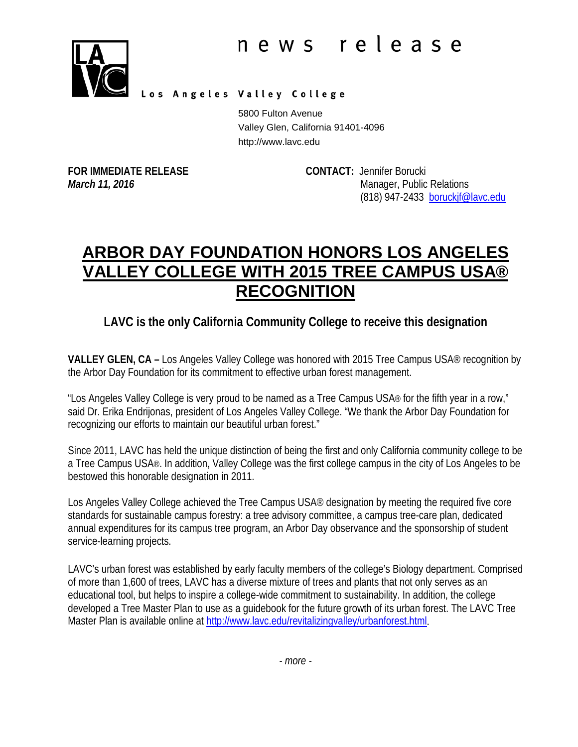

Los Angeles Valley College

5800 Fulton Avenue Valley Glen, California 91401-4096 http://www.lavc.edu

**FOR IMMEDIATE RELEASE CONTACT:** Jennifer Borucki

*March 11, 2016* Manager, Public Relations (818) 947-2433 [boruckjf@lavc.edu](mailto:boruckjf@lavc.edu)

## **ARBOR DAY FOUNDATION HONORS LOS ANGELES VALLEY COLLEGE WITH 2015 TREE CAMPUS USA® RECOGNITION**

## **LAVC is the only California Community College to receive this designation**

**VALLEY GLEN, CA –** Los Angeles Valley College was honored with 2015 Tree Campus USA® recognition by the Arbor Day Foundation for its commitment to effective urban forest management.

"Los Angeles Valley College is very proud to be named as a Tree Campus USA® for the fifth year in a row," said Dr. Erika Endrijonas, president of Los Angeles Valley College. "We thank the Arbor Day Foundation for recognizing our efforts to maintain our beautiful urban forest."

Since 2011, LAVC has held the unique distinction of being the first and only California community college to be a Tree Campus USA®. In addition, Valley College was the first college campus in the city of Los Angeles to be bestowed this honorable designation in 2011.

Los Angeles Valley College achieved the Tree Campus USA® designation by meeting the required five core standards for sustainable campus forestry: a tree advisory committee, a campus tree-care plan, dedicated annual expenditures for its campus tree program, an Arbor Day observance and the sponsorship of student service-learning projects.

LAVC's urban forest was established by early faculty members of the college's Biology department. Comprised of more than 1,600 of trees, LAVC has a diverse mixture of trees and plants that not only serves as an educational tool, but helps to inspire a college-wide commitment to sustainability. In addition, the college developed a Tree Master Plan to use as a guidebook for the future growth of its urban forest. The LAVC Tree Master Plan is available online at [http://www.lavc.edu/revitalizingvalley/urbanforest.html.](http://www.lavc.edu/revitalizingvalley/urbanforest.html)